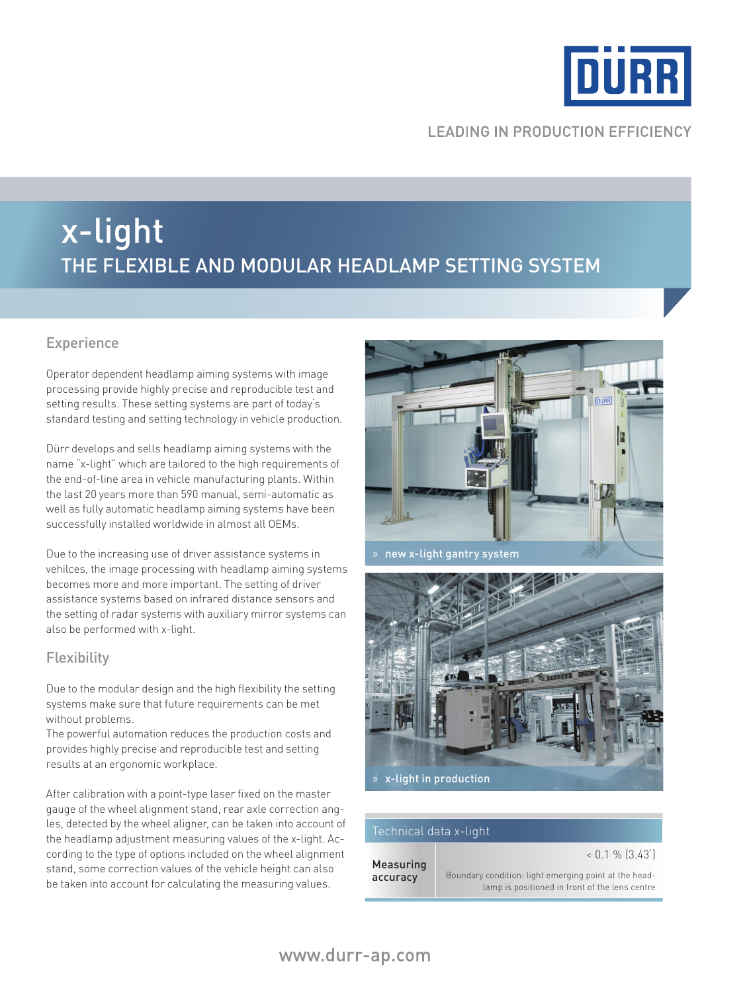

## **LEADING IN PRODUCTION EFFICIENCY**

## x-light the flexible and modular headlamp setting system

## Experience

Operator dependent headlamp aiming systems with image processing provide highly precise and reproducible test and setting results. These setting systems are part of today's standard testing and setting technology in vehicle production.

Dürr develops and sells headlamp aiming systems with the name "x-light" which are tailored to the high requirements of the end-of-line area in vehicle manufacturing plants. Within the last 20 years more than 590 manual, semi-automatic as well as fully automatic headlamp aiming systems have been successfully installed worldwide in almost all OEMs.

Due to the increasing use of driver assistance systems in vehilces, the image processing with headlamp aiming systems becomes more and more important. The setting of driver assistance systems based on infrared distance sensors and the setting of radar systems with auxiliary mirror systems can also be performed with x-light.

## **Flexibility**

Due to the modular design and the high flexibility the setting systems make sure that future requirements can be met without problems.

The powerful automation reduces the production costs and provides highly precise and reproducible test and setting results at an ergonomic workplace.

After calibration with a point-type laser fixed on the master gauge of the wheel alignment stand, rear axle correction angles, detected by the wheel aligner, can be taken into account of the headlamp adjustment measuring values of the x-light. According to the type of options included on the wheel alignment stand, some correction values of the vehicle height can also be taken into account for calculating the measuring values.



» new x-light gantry system



#### Technical data x-light

Measuring accuracy

#### $< 0.1 \%$  (3.43)

Boundary condition: light emerging point at the headlamp is positioned in front of the lens centre